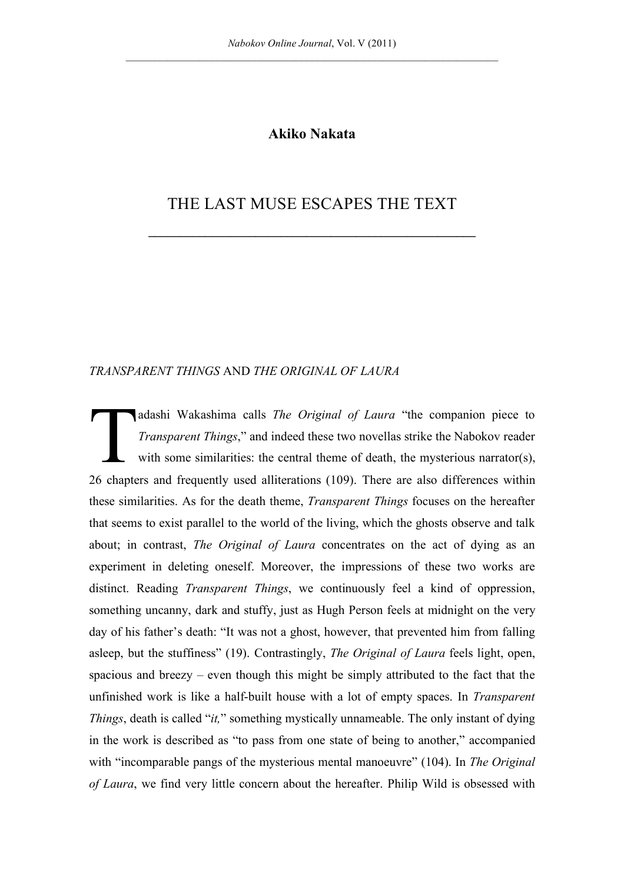## **Akiko Nakata**

# THE LAST MUSE ESCAPES THE TEXT

**\_\_\_\_\_\_\_\_\_\_\_\_\_\_\_\_\_\_\_\_\_\_\_\_\_\_\_\_\_\_\_\_\_\_\_\_\_\_\_\_\_\_\_\_\_\_\_\_\_\_\_\_**

#### *TRANSPARENT THINGS* AND *THE ORIGINAL OF LAURA*

adashi Wakashima calls *The Original of Laura* "the companion piece to *Transparent Things*," and indeed these two novellas strike the Nabokov reader with some similarities: the central theme of death, the mysterious narrator(s), 26 chapters and frequently used alliterations (109). There are also differences within these similarities. As for the death theme, *Transparent Things* focuses on the hereafter that seems to exist parallel to the world of the living, which the ghosts observe and talk about; in contrast, *The Original of Laura* concentrates on the act of dying as an experiment in deleting oneself. Moreover, the impressions of these two works are distinct. Reading *Transparent Things*, we continuously feel a kind of oppression, something uncanny, dark and stuffy, just as Hugh Person feels at midnight on the very day of his father's death: "It was not a ghost, however, that prevented him from falling asleep, but the stuffiness" (19). Contrastingly, *The Original of Laura* feels light, open, spacious and breezy – even though this might be simply attributed to the fact that the unfinished work is like a half-built house with a lot of empty spaces. In *Transparent Things*, death is called "*it*," something mystically unnameable. The only instant of dying in the work is described as "to pass from one state of being to another," accompanied with "incomparable pangs of the mysterious mental manoeuvre" (104). In *The Original of Laura*, we find very little concern about the hereafter. Philip Wild is obsessed with T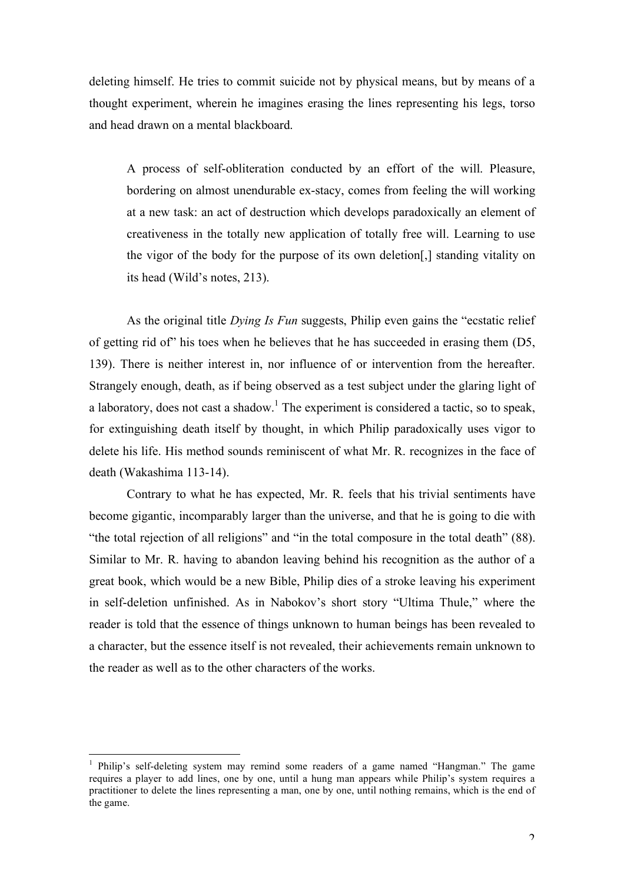deleting himself. He tries to commit suicide not by physical means, but by means of a thought experiment, wherein he imagines erasing the lines representing his legs, torso and head drawn on a mental blackboard.

A process of self-obliteration conducted by an effort of the will. Pleasure, bordering on almost unendurable ex-stacy, comes from feeling the will working at a new task: an act of destruction which develops paradoxically an element of creativeness in the totally new application of totally free will. Learning to use the vigor of the body for the purpose of its own deletion[,] standing vitality on its head (Wild's notes, 213).

As the original title *Dying Is Fun* suggests, Philip even gains the "ecstatic relief of getting rid of" his toes when he believes that he has succeeded in erasing them (D5, 139). There is neither interest in, nor influence of or intervention from the hereafter. Strangely enough, death, as if being observed as a test subject under the glaring light of a laboratory, does not cast a shadow.<sup>1</sup> The experiment is considered a tactic, so to speak, for extinguishing death itself by thought, in which Philip paradoxically uses vigor to delete his life. His method sounds reminiscent of what Mr. R. recognizes in the face of death (Wakashima 113-14).

Contrary to what he has expected, Mr. R. feels that his trivial sentiments have become gigantic, incomparably larger than the universe, and that he is going to die with "the total rejection of all religions" and "in the total composure in the total death" (88). Similar to Mr. R. having to abandon leaving behind his recognition as the author of a great book, which would be a new Bible, Philip dies of a stroke leaving his experiment in self-deletion unfinished. As in Nabokov's short story "Ultima Thule," where the reader is told that the essence of things unknown to human beings has been revealed to a character, but the essence itself is not revealed, their achievements remain unknown to the reader as well as to the other characters of the works.

 $\frac{1}{1}$ <sup>1</sup> Philip's self-deleting system may remind some readers of a game named "Hangman." The game requires a player to add lines, one by one, until a hung man appears while Philip's system requires a practitioner to delete the lines representing a man, one by one, until nothing remains, which is the end of the game.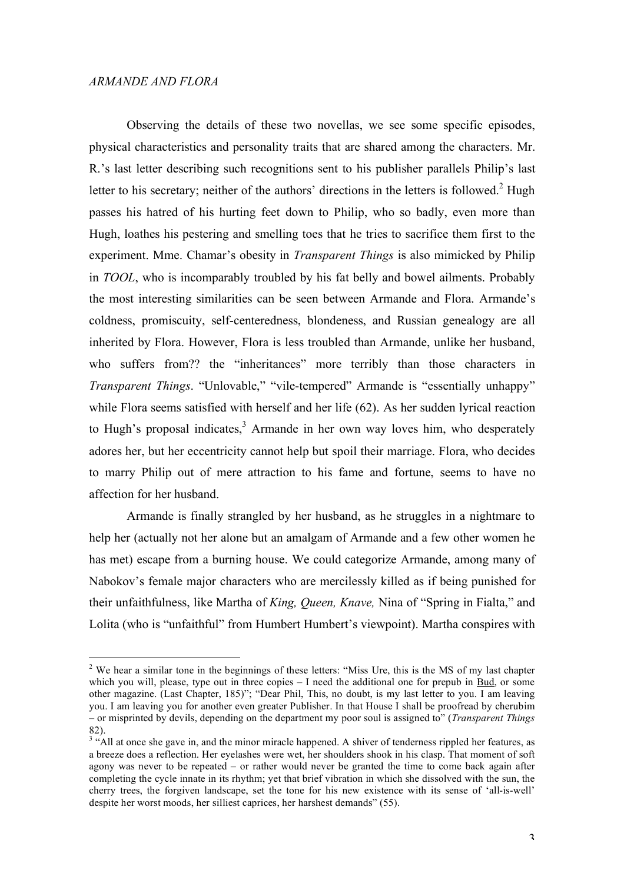Observing the details of these two novellas, we see some specific episodes, physical characteristics and personality traits that are shared among the characters. Mr. R.'s last letter describing such recognitions sent to his publisher parallels Philip's last letter to his secretary; neither of the authors' directions in the letters is followed.<sup>2</sup> Hugh passes his hatred of his hurting feet down to Philip, who so badly, even more than Hugh, loathes his pestering and smelling toes that he tries to sacrifice them first to the experiment. Mme. Chamar's obesity in *Transparent Things* is also mimicked by Philip in *TOOL*, who is incomparably troubled by his fat belly and bowel ailments. Probably the most interesting similarities can be seen between Armande and Flora. Armande's coldness, promiscuity, self-centeredness, blondeness, and Russian genealogy are all inherited by Flora. However, Flora is less troubled than Armande, unlike her husband, who suffers from?? the "inheritances" more terribly than those characters in *Transparent Things*. "Unlovable," "vile-tempered" Armande is "essentially unhappy" while Flora seems satisfied with herself and her life (62). As her sudden lyrical reaction to Hugh's proposal indicates, $3$  Armande in her own way loves him, who desperately adores her, but her eccentricity cannot help but spoil their marriage. Flora, who decides to marry Philip out of mere attraction to his fame and fortune, seems to have no affection for her husband.

Armande is finally strangled by her husband, as he struggles in a nightmare to help her (actually not her alone but an amalgam of Armande and a few other women he has met) escape from a burning house. We could categorize Armande, among many of Nabokov's female major characters who are mercilessly killed as if being punished for their unfaithfulness, like Martha of *King, Queen, Knave,* Nina of "Spring in Fialta," and Lolita (who is "unfaithful" from Humbert Humbert's viewpoint). Martha conspires with

 $\frac{1}{2}$ <sup>2</sup> We hear a similar tone in the beginnings of these letters: "Miss Ure, this is the MS of my last chapter which you will, please, type out in three copies  $-1$  need the additional one for prepub in  $\underline{Bud}$ , or some other magazine. (Last Chapter, 185)"; "Dear Phil, This, no doubt, is my last letter to you. I am leaving you. I am leaving you for another even greater Publisher. In that House I shall be proofread by cherubim – or misprinted by devils, depending on the department my poor soul is assigned to" (*Transparent Things*  82).<br><sup>3</sup> "All at once she gave in, and the minor miracle happened. A shiver of tenderness rippled her features, as

a breeze does a reflection. Her eyelashes were wet, her shoulders shook in his clasp. That moment of soft agony was never to be repeated – or rather would never be granted the time to come back again after completing the cycle innate in its rhythm; yet that brief vibration in which she dissolved with the sun, the cherry trees, the forgiven landscape, set the tone for his new existence with its sense of 'all-is-well' despite her worst moods, her silliest caprices, her harshest demands" (55).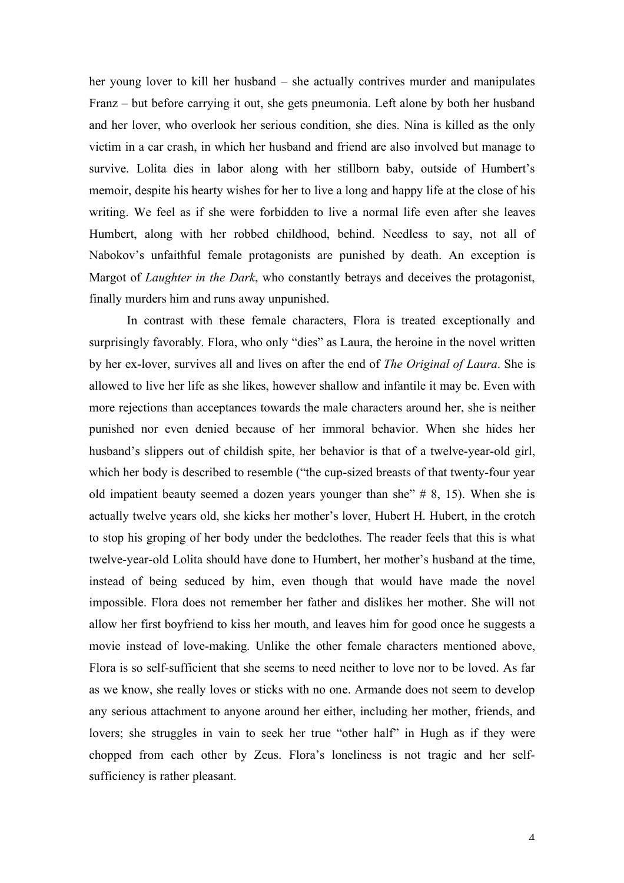her young lover to kill her husband – she actually contrives murder and manipulates Franz – but before carrying it out, she gets pneumonia. Left alone by both her husband and her lover, who overlook her serious condition, she dies. Nina is killed as the only victim in a car crash, in which her husband and friend are also involved but manage to survive. Lolita dies in labor along with her stillborn baby, outside of Humbert's memoir, despite his hearty wishes for her to live a long and happy life at the close of his writing. We feel as if she were forbidden to live a normal life even after she leaves Humbert, along with her robbed childhood, behind. Needless to say, not all of Nabokov's unfaithful female protagonists are punished by death. An exception is Margot of *Laughter in the Dark*, who constantly betrays and deceives the protagonist, finally murders him and runs away unpunished.

In contrast with these female characters, Flora is treated exceptionally and surprisingly favorably. Flora, who only "dies" as Laura, the heroine in the novel written by her ex-lover, survives all and lives on after the end of *The Original of Laura*. She is allowed to live her life as she likes, however shallow and infantile it may be. Even with more rejections than acceptances towards the male characters around her, she is neither punished nor even denied because of her immoral behavior. When she hides her husband's slippers out of childish spite, her behavior is that of a twelve-year-old girl, which her body is described to resemble ("the cup-sized breasts of that twenty-four year old impatient beauty seemed a dozen years younger than she'  $\#$  8, 15). When she is actually twelve years old, she kicks her mother's lover, Hubert H. Hubert, in the crotch to stop his groping of her body under the bedclothes. The reader feels that this is what twelve-year-old Lolita should have done to Humbert, her mother's husband at the time, instead of being seduced by him, even though that would have made the novel impossible. Flora does not remember her father and dislikes her mother. She will not allow her first boyfriend to kiss her mouth, and leaves him for good once he suggests a movie instead of love-making. Unlike the other female characters mentioned above, Flora is so self-sufficient that she seems to need neither to love nor to be loved. As far as we know, she really loves or sticks with no one. Armande does not seem to develop any serious attachment to anyone around her either, including her mother, friends, and lovers; she struggles in vain to seek her true "other half" in Hugh as if they were chopped from each other by Zeus. Flora's loneliness is not tragic and her selfsufficiency is rather pleasant.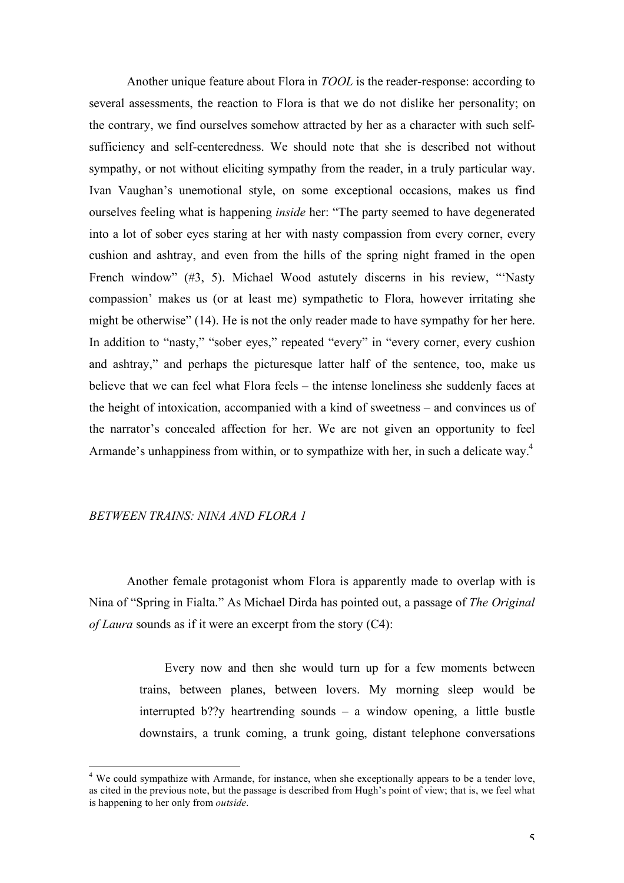Another unique feature about Flora in *TOOL* is the reader-response: according to several assessments, the reaction to Flora is that we do not dislike her personality; on the contrary, we find ourselves somehow attracted by her as a character with such selfsufficiency and self-centeredness. We should note that she is described not without sympathy, or not without eliciting sympathy from the reader, in a truly particular way. Ivan Vaughan's unemotional style, on some exceptional occasions, makes us find ourselves feeling what is happening *inside* her: "The party seemed to have degenerated into a lot of sober eyes staring at her with nasty compassion from every corner, every cushion and ashtray, and even from the hills of the spring night framed in the open French window" (#3, 5). Michael Wood astutely discerns in his review, "'Nasty compassion' makes us (or at least me) sympathetic to Flora, however irritating she might be otherwise" (14). He is not the only reader made to have sympathy for her here. In addition to "nasty," "sober eyes," repeated "every" in "every corner, every cushion and ashtray," and perhaps the picturesque latter half of the sentence, too, make us believe that we can feel what Flora feels – the intense loneliness she suddenly faces at the height of intoxication, accompanied with a kind of sweetness – and convinces us of the narrator's concealed affection for her. We are not given an opportunity to feel Armande's unhappiness from within, or to sympathize with her, in such a delicate way.<sup>4</sup>

#### *BETWEEN TRAINS: NINA AND FLORA 1*

Another female protagonist whom Flora is apparently made to overlap with is Nina of "Spring in Fialta." As Michael Dirda has pointed out, a passage of *The Original of Laura* sounds as if it were an excerpt from the story (C4):

> Every now and then she would turn up for a few moments between trains, between planes, between lovers. My morning sleep would be interrupted b??y heartrending sounds  $-$  a window opening, a little bustle downstairs, a trunk coming, a trunk going, distant telephone conversations

 $\frac{1}{4}$  $4$  We could sympathize with Armande, for instance, when she exceptionally appears to be a tender love, as cited in the previous note, but the passage is described from Hugh's point of view; that is, we feel what is happening to her only from *outside*.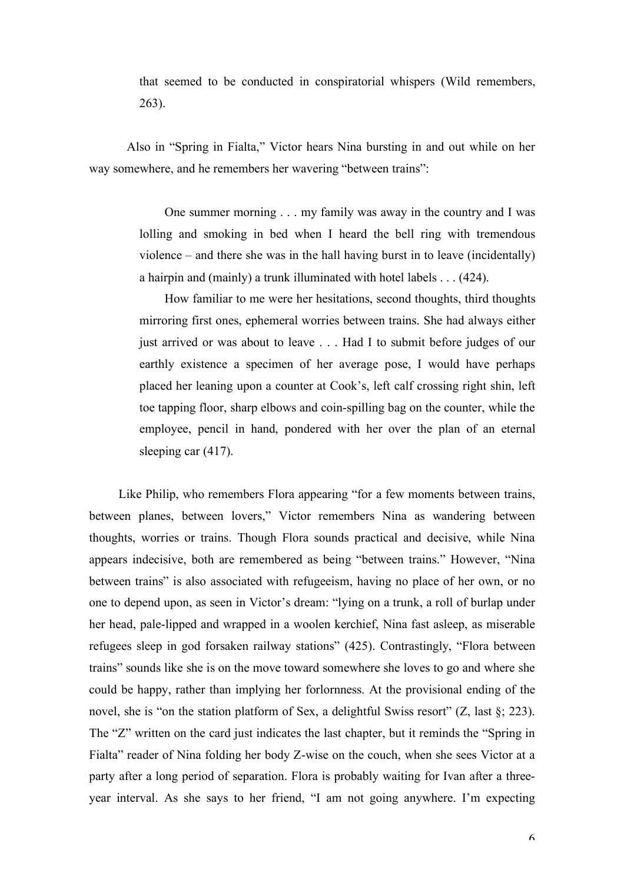that seemed to be conducted in conspiratorial whispers (Wild remembers, 263).

Also in "Spring in Fialta," Victor hears Nina bursting in and out while on her way somewhere, and he remembers her wavering "between trains":

> One summer morning . . . my family was away in the country and I was lolling and smoking in bed when I heard the bell ring with tremendous violence – and there she was in the hall having burst in to leave (incidentally) a hairpin and (mainly) a trunk illuminated with hotel labels . . . (424).

> How familiar to me were her hesitations, second thoughts, third thoughts mirroring first ones, ephemeral worries between trains. She had always either just arrived or was about to leave . . . Had I to submit before judges of our earthly existence a specimen of her average pose, I would have perhaps placed her leaning upon a counter at Cook's, left calf crossing right shin, left toe tapping floor, sharp elbows and coin-spilling bag on the counter, while the employee, pencil in hand, pondered with her over the plan of an eternal sleeping car (417).

Like Philip, who remembers Flora appearing "for a few moments between trains, between planes, between lovers," Victor remembers Nina as wandering between thoughts, worries or trains. Though Flora sounds practical and decisive, while Nina appears indecisive, both are remembered as being "between trains." However, "Nina between trains" is also associated with refugeeism, having no place of her own, or no one to depend upon, as seen in Victor's dream: "lying on a trunk, a roll of burlap under her head, pale-lipped and wrapped in a woolen kerchief, Nina fast asleep, as miserable refugees sleep in god forsaken railway stations" (425). Contrastingly, "Flora between trains" sounds like she is on the move toward somewhere she loves to go and where she could be happy, rather than implying her forlornness. At the provisional ending of the novel, she is "on the station platform of Sex, a delightful Swiss resort"  $(Z, \text{last } \S; 223)$ . The "Z" written on the card just indicates the last chapter, but it reminds the "Spring in Fialta" reader of Nina folding her body Z-wise on the couch, when she sees Victor at a party after a long period of separation. Flora is probably waiting for Ivan after a threeyear interval. As she says to her friend, "I am not going anywhere. I'm expecting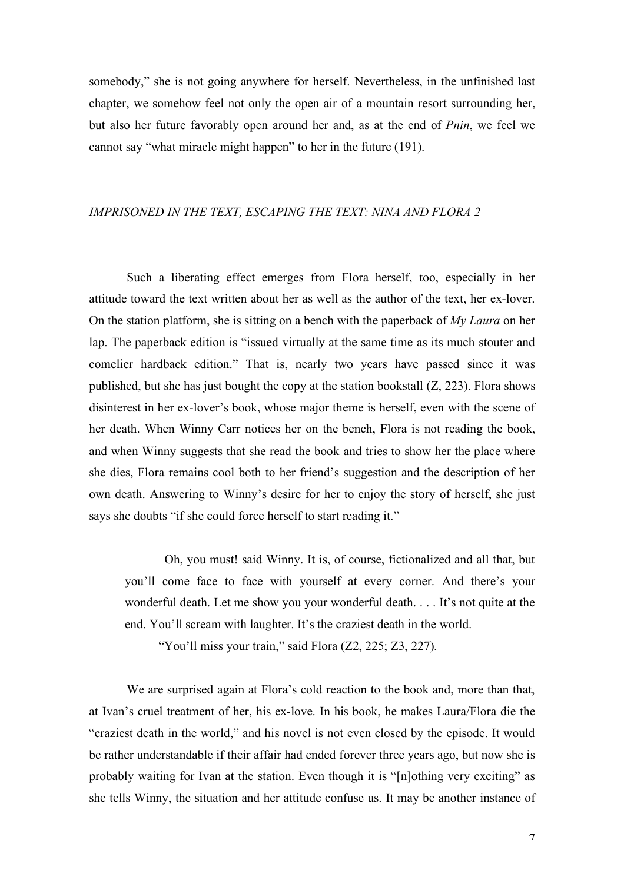somebody," she is not going anywhere for herself. Nevertheless, in the unfinished last chapter, we somehow feel not only the open air of a mountain resort surrounding her, but also her future favorably open around her and, as at the end of *Pnin*, we feel we cannot say "what miracle might happen" to her in the future (191).

### *IMPRISONED IN THE TEXT, ESCAPING THE TEXT: NINA AND FLORA 2*

Such a liberating effect emerges from Flora herself, too, especially in her attitude toward the text written about her as well as the author of the text, her ex-lover. On the station platform, she is sitting on a bench with the paperback of *My Laura* on her lap. The paperback edition is "issued virtually at the same time as its much stouter and comelier hardback edition." That is, nearly two years have passed since it was published, but she has just bought the copy at the station bookstall (Z, 223). Flora shows disinterest in her ex-lover's book, whose major theme is herself, even with the scene of her death. When Winny Carr notices her on the bench, Flora is not reading the book, and when Winny suggests that she read the book and tries to show her the place where she dies, Flora remains cool both to her friend's suggestion and the description of her own death. Answering to Winny's desire for her to enjoy the story of herself, she just says she doubts "if she could force herself to start reading it."

Oh, you must! said Winny. It is, of course, fictionalized and all that, but you'll come face to face with yourself at every corner. And there's your wonderful death. Let me show you your wonderful death. . . . It's not quite at the end. You'll scream with laughter. It's the craziest death in the world.

"You'll miss your train," said Flora  $(Z2, 225, Z3, 227)$ .

We are surprised again at Flora's cold reaction to the book and, more than that, at Ivan's cruel treatment of her, his ex-love. In his book, he makes Laura/Flora die the "craziest death in the world," and his novel is not even closed by the episode. It would be rather understandable if their affair had ended forever three years ago, but now she is probably waiting for Ivan at the station. Even though it is "[n]othing very exciting" as she tells Winny, the situation and her attitude confuse us. It may be another instance of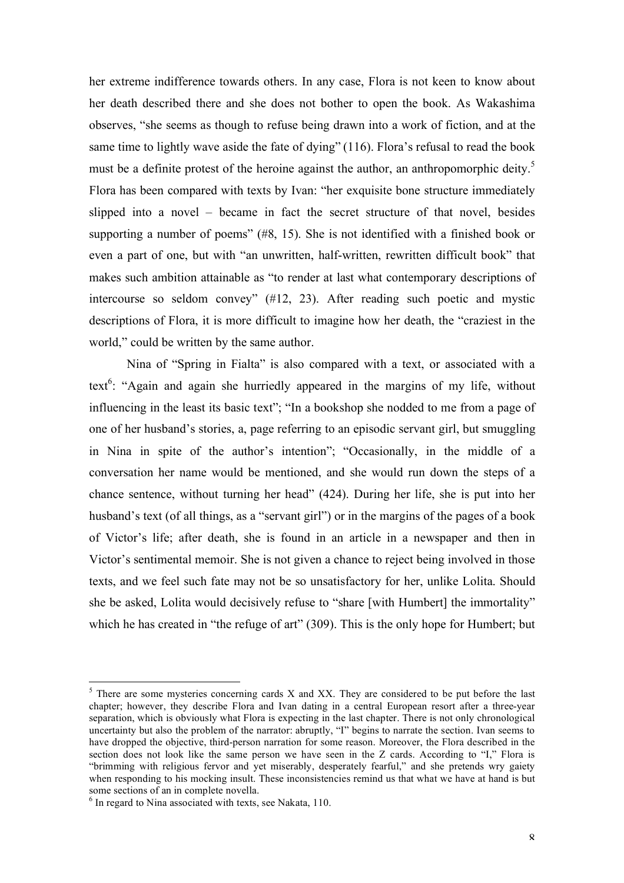her extreme indifference towards others. In any case, Flora is not keen to know about her death described there and she does not bother to open the book. As Wakashima observes, "she seems as though to refuse being drawn into a work of fiction, and at the same time to lightly wave aside the fate of dying" (116). Flora's refusal to read the book must be a definite protest of the heroine against the author, an anthropomorphic deity.<sup>5</sup> Flora has been compared with texts by Ivan: "her exquisite bone structure immediately slipped into a novel – became in fact the secret structure of that novel, besides supporting a number of poems" (#8, 15). She is not identified with a finished book or even a part of one, but with "an unwritten, half-written, rewritten difficult book" that makes such ambition attainable as "to render at last what contemporary descriptions of intercourse so seldom convey" (#12, 23). After reading such poetic and mystic descriptions of Flora, it is more difficult to imagine how her death, the "craziest in the world," could be written by the same author.

Nina of "Spring in Fialta" is also compared with a text, or associated with a text<sup>6</sup>: "Again and again she hurriedly appeared in the margins of my life, without influencing in the least its basic text"; "In a bookshop she nodded to me from a page of one of her husband's stories, a, page referring to an episodic servant girl, but smuggling in Nina in spite of the author's intention"; "Occasionally, in the middle of a conversation her name would be mentioned, and she would run down the steps of a chance sentence, without turning her head" (424). During her life, she is put into her husband's text (of all things, as a "servant girl") or in the margins of the pages of a book of Victor's life; after death, she is found in an article in a newspaper and then in Victor's sentimental memoir. She is not given a chance to reject being involved in those texts, and we feel such fate may not be so unsatisfactory for her, unlike Lolita. Should she be asked, Lolita would decisively refuse to "share [with Humbert] the immortality" which he has created in "the refuge of art" (309). This is the only hope for Humbert; but

 <sup>5</sup>  $5$  There are some mysteries concerning cards X and XX. They are considered to be put before the last chapter; however, they describe Flora and Ivan dating in a central European resort after a three-year separation, which is obviously what Flora is expecting in the last chapter. There is not only chronological uncertainty but also the problem of the narrator: abruptly, "I" begins to narrate the section. Ivan seems to have dropped the objective, third-person narration for some reason. Moreover, the Flora described in the section does not look like the same person we have seen in the Z cards. According to "I," Flora is "brimming with religious fervor and yet miserably, desperately fearful," and she pretends wry gaiety when responding to his mocking insult. These inconsistencies remind us that what we have at hand is but some sections of an in complete novella.

 $6$  In regard to Nina associated with texts, see Nakata, 110.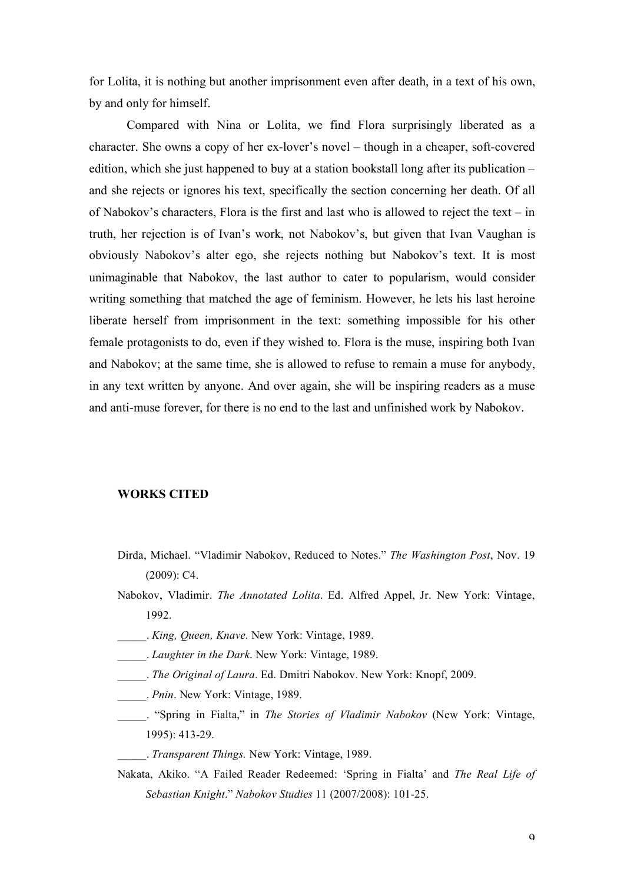for Lolita, it is nothing but another imprisonment even after death, in a text of his own, by and only for himself.

Compared with Nina or Lolita, we find Flora surprisingly liberated as a character. She owns a copy of her ex-lover's novel – though in a cheaper, soft-covered edition, which she just happened to buy at a station bookstall long after its publication – and she rejects or ignores his text, specifically the section concerning her death. Of all of Nabokov's characters, Flora is the first and last who is allowed to reject the text – in truth, her rejection is of Ivan's work, not Nabokov's, but given that Ivan Vaughan is obviously Nabokov's alter ego, she rejects nothing but Nabokov's text. It is most unimaginable that Nabokov, the last author to cater to popularism, would consider writing something that matched the age of feminism. However, he lets his last heroine liberate herself from imprisonment in the text: something impossible for his other female protagonists to do, even if they wished to. Flora is the muse, inspiring both Ivan and Nabokov; at the same time, she is allowed to refuse to remain a muse for anybody, in any text written by anyone. And over again, she will be inspiring readers as a muse and anti-muse forever, for there is no end to the last and unfinished work by Nabokov.

#### **WORKS CITED**

- Dirda, Michael. "Vladimir Nabokov, Reduced to Notes." *The Washington Post*, Nov. 19 (2009): C4.
- Nabokov, Vladimir. *The Annotated Lolita*. Ed. Alfred Appel, Jr. New York: Vintage, 1992.
- \_\_\_\_\_. *King, Queen, Knave.* New York: Vintage, 1989.
- \_\_\_\_\_. *Laughter in the Dark*. New York: Vintage, 1989.
- \_\_\_\_\_. *The Original of Laura*. Ed. Dmitri Nabokov. New York: Knopf, 2009.
- \_\_\_\_\_. *Pnin*. New York: Vintage, 1989.
- \_\_\_\_\_. "Spring in Fialta," in *The Stories of Vladimir Nabokov* (New York: Vintage, 1995): 413-29.
	- \_\_\_\_\_. *Transparent Things.* New York: Vintage, 1989.
- Nakata, Akiko. "A Failed Reader Redeemed: 'Spring in Fialta' and *The Real Life of Sebastian Knight*." *Nabokov Studies* 11 (2007/2008): 101-25.